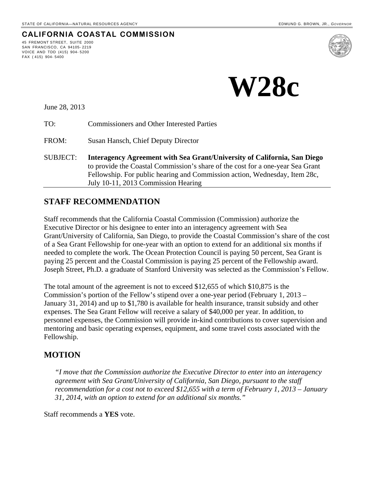**CALIFORNIA COASTAL COMMISSION**



June 28, 2013

45 FREMONT STREET, SUITE 2000 SAN FRANCISCO, CA 94105- 2219 VOICE AND TDD (415) 904- 5200

FAX ( 415) 904- 5400

TO: Commissioners and Other Interested Parties

FROM: Susan Hansch, Chief Deputy Director

SUBJECT: **Interagency Agreement with Sea Grant/University of California, San Diego** to provide the Coastal Commission's share of the cost for a one-year Sea Grant Fellowship. For public hearing and Commission action, Wednesday, Item 28c, July 10-11, 2013 Commission Hearing

#### **STAFF RECOMMENDATION**

Staff recommends that the California Coastal Commission (Commission) authorize the Executive Director or his designee to enter into an interagency agreement with Sea Grant/University of California, San Diego, to provide the Coastal Commission's share of the cost of a Sea Grant Fellowship for one-year with an option to extend for an additional six months if needed to complete the work. The Ocean Protection Council is paying 50 percent, Sea Grant is paying 25 percent and the Coastal Commission is paying 25 percent of the Fellowship award. Joseph Street, Ph.D. a graduate of Stanford University was selected as the Commission's Fellow.

The total amount of the agreement is not to exceed \$12,655 of which \$10,875 is the Commission's portion of the Fellow's stipend over a one-year period (February 1, 2013 – January 31, 2014) and up to \$1,780 is available for health insurance, transit subsidy and other expenses. The Sea Grant Fellow will receive a salary of \$40,000 per year. In addition, to personnel expenses, the Commission will provide in-kind contributions to cover supervision and mentoring and basic operating expenses, equipment, and some travel costs associated with the Fellowship.

#### **MOTION**

*"I move that the Commission authorize the Executive Director to enter into an interagency agreement with Sea Grant/University of California, San Diego, pursuant to the staff recommendation for a cost not to exceed \$12,655 with a term of February 1, 2013 – January 31, 2014, with an option to extend for an additional six months."*

Staff recommends a **YES** vote.